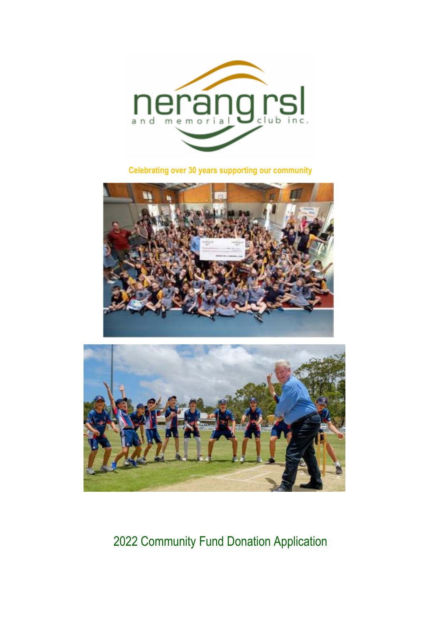

**Celebrating over 30 years supporting our community** 





# 2022 Community Fund Donation Application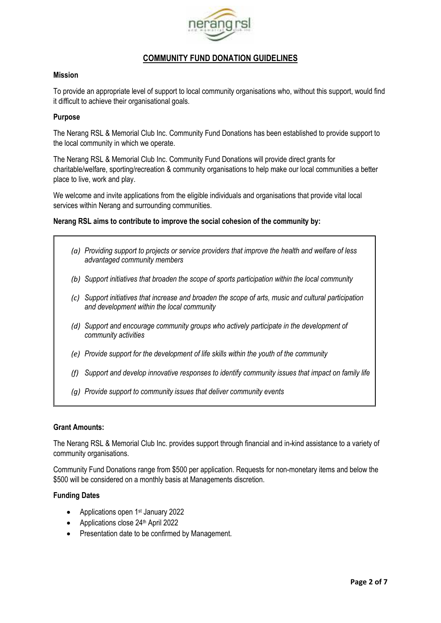

# **COMMUNITY FUND DONATION GUIDELINES**

#### **Mission**

To provide an appropriate level of support to local community organisations who, without this support, would find it difficult to achieve their organisational goals.

#### **Purpose**

The Nerang RSL & Memorial Club Inc. Community Fund Donations has been established to provide support to the local community in which we operate.

The Nerang RSL & Memorial Club Inc. Community Fund Donations will provide direct grants for charitable/welfare, sporting/recreation & community organisations to help make our local communities a better place to live, work and play.

We welcome and invite applications from the eligible individuals and organisations that provide vital local services within Nerang and surrounding communities.

#### **Nerang RSL aims to contribute to improve the social cohesion of the community by:**

- *(a) Providing support to projects or service providers that improve the health and welfare of less advantaged community members*
- *(b) Support initiatives that broaden the scope of sports participation within the local community*
- *(c) Support initiatives that increase and broaden the scope of arts, music and cultural participation and development within the local community*
- *(d) Support and encourage community groups who actively participate in the development of community activities*
- *(e) Provide support for the development of life skills within the youth of the community*
- *(f) Support and develop innovative responses to identify community issues that impact on family life*
- *(g) Provide support to community issues that deliver community events*

#### **Grant Amounts:**

The Nerang RSL & Memorial Club Inc. provides support through financial and in-kind assistance to a variety of community organisations.

Community Fund Donations range from \$500 per application. Requests for non-monetary items and below the \$500 will be considered on a monthly basis at Managements discretion.

#### **Funding Dates**

- Applications open 1<sup>st</sup> January 2022
- Applications close 24<sup>th</sup> April 2022
- Presentation date to be confirmed by Management.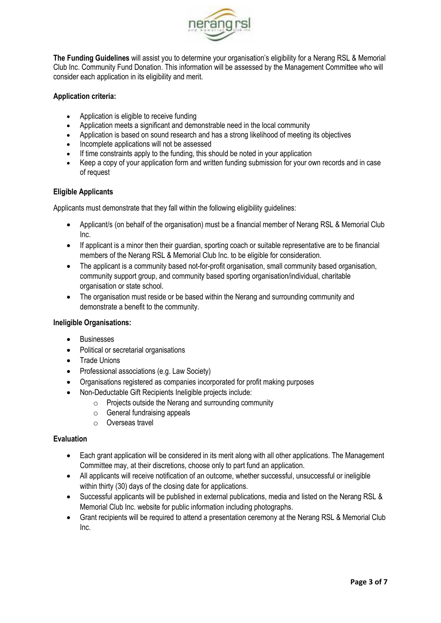

**The Funding Guidelines** will assist you to determine your organisation's eligibility for a Nerang RSL & Memorial Club Inc. Community Fund Donation. This information will be assessed by the Management Committee who will consider each application in its eligibility and merit.

# **Application criteria:**

- Application is eligible to receive funding
- Application meets a significant and demonstrable need in the local community
- Application is based on sound research and has a strong likelihood of meeting its objectives
- Incomplete applications will not be assessed
- If time constraints apply to the funding, this should be noted in your application
- Keep a copy of your application form and written funding submission for your own records and in case of request

# **Eligible Applicants**

Applicants must demonstrate that they fall within the following eligibility guidelines:

- Applicant/s (on behalf of the organisation) must be a financial member of Nerang RSL & Memorial Club Inc.
- If applicant is a minor then their guardian, sporting coach or suitable representative are to be financial members of the Nerang RSL & Memorial Club Inc. to be eligible for consideration.
- The applicant is a community based not-for-profit organisation, small community based organisation, community support group, and community based sporting organisation/individual, charitable organisation or state school.
- The organisation must reside or be based within the Nerang and surrounding community and demonstrate a benefit to the community.

# **Ineligible Organisations:**

- Businesses
- Political or secretarial organisations
- Trade Unions
- Professional associations (e.g. Law Society)
- Organisations registered as companies incorporated for profit making purposes
- Non-Deductable Gift Recipients Ineligible projects include:
	- o Projects outside the Nerang and surrounding community
	- o General fundraising appeals
	- o Overseas travel

# **Evaluation**

- Each grant application will be considered in its merit along with all other applications. The Management Committee may, at their discretions, choose only to part fund an application.
- All applicants will receive notification of an outcome, whether successful, unsuccessful or ineligible within thirty (30) days of the closing date for applications.
- Successful applicants will be published in external publications, media and listed on the Nerang RSL & Memorial Club Inc. website for public information including photographs.
- Grant recipients will be required to attend a presentation ceremony at the Nerang RSL & Memorial Club Inc.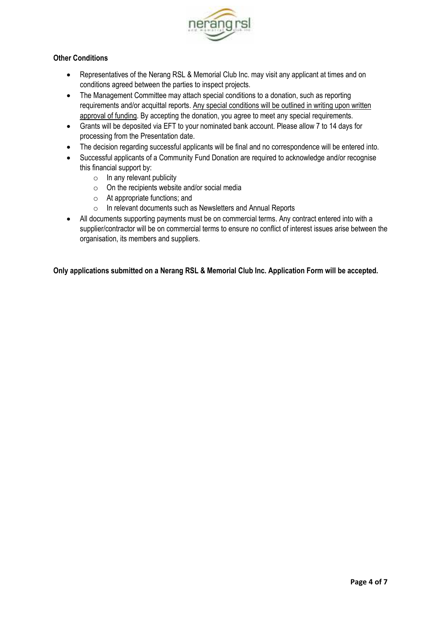

# **Other Conditions**

- Representatives of the Nerang RSL & Memorial Club Inc. may visit any applicant at times and on conditions agreed between the parties to inspect projects.
- The Management Committee may attach special conditions to a donation, such as reporting requirements and/or acquittal reports. Any special conditions will be outlined in writing upon written approval of funding. By accepting the donation, you agree to meet any special requirements.
- Grants will be deposited via EFT to your nominated bank account. Please allow 7 to 14 days for processing from the Presentation date.
- The decision regarding successful applicants will be final and no correspondence will be entered into.
- Successful applicants of a Community Fund Donation are required to acknowledge and/or recognise this financial support by:
	- $\circ$  In any relevant publicity
	- $\circ$  On the recipients website and/or social media
	- o At appropriate functions; and
	- o In relevant documents such as Newsletters and Annual Reports
- All documents supporting payments must be on commercial terms. Any contract entered into with a supplier/contractor will be on commercial terms to ensure no conflict of interest issues arise between the organisation, its members and suppliers.

**Only applications submitted on a Nerang RSL & Memorial Club Inc. Application Form will be accepted.**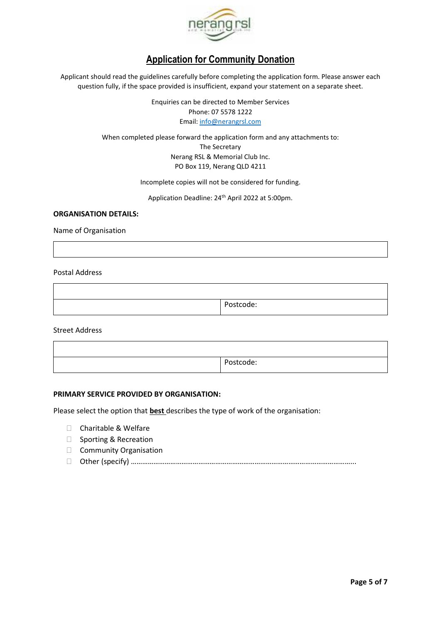

# **Application for Community Donation**

Applicant should read the guidelines carefully before completing the application form. Please answer each question fully, if the space provided is insufficient, expand your statement on a separate sheet.

> Enquiries can be directed to Member Services Phone: 07 5578 1222 Email: info@nerangrsl.com

When completed please forward the application form and any attachments to: The Secretary Nerang RSL & Memorial Club Inc. PO Box 119, Nerang QLD 4211

Incomplete copies will not be considered for funding.

Application Deadline: 24th April 2022 at 5:00pm.

#### **ORGANISATION DETAILS:**

Name of Organisation

Postal Address

Postcode:

Street Address

Postcode:

#### **PRIMARY SERVICE PROVIDED BY ORGANISATION:**

Please select the option that **best** describes the type of work of the organisation:

 Charitable & Welfare Sporting & Recreation Community Organisation Other (specify) ………………………………………………………………………………………………………...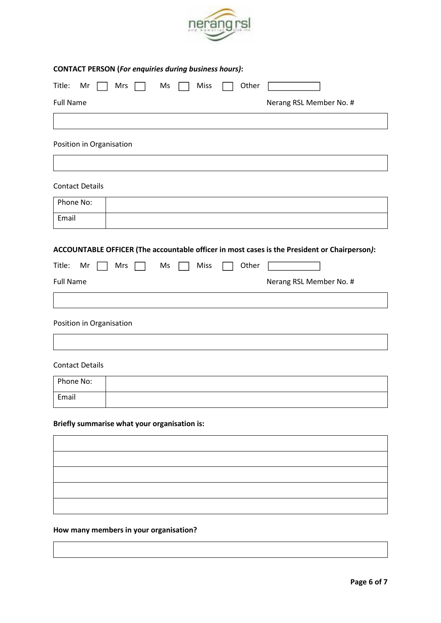

| <b>CONTACT PERSON (For enquiries during business hours):</b> |            |       |                                                                                              |  |  |
|--------------------------------------------------------------|------------|-------|----------------------------------------------------------------------------------------------|--|--|
| Title:<br>Mr<br><b>Mrs</b>                                   | Miss<br>Ms | Other |                                                                                              |  |  |
| <b>Full Name</b>                                             |            |       | Nerang RSL Member No. #                                                                      |  |  |
|                                                              |            |       |                                                                                              |  |  |
| Position in Organisation                                     |            |       |                                                                                              |  |  |
|                                                              |            |       |                                                                                              |  |  |
| <b>Contact Details</b>                                       |            |       |                                                                                              |  |  |
| Phone No:                                                    |            |       |                                                                                              |  |  |
| Email                                                        |            |       |                                                                                              |  |  |
|                                                              |            |       | ACCOUNTABLE OFFICER (The accountable officer in most cases is the President or Chairperson): |  |  |
| Title:<br>Mr<br>Mrs                                          | Miss<br>Ms | Other |                                                                                              |  |  |
| <b>Full Name</b>                                             |            |       | Nerang RSL Member No. #                                                                      |  |  |
|                                                              |            |       |                                                                                              |  |  |
| Position in Organisation                                     |            |       |                                                                                              |  |  |
|                                                              |            |       |                                                                                              |  |  |
| <b>Contact Details</b>                                       |            |       |                                                                                              |  |  |
| Phone No:                                                    |            |       |                                                                                              |  |  |
| Email                                                        |            |       |                                                                                              |  |  |

# **Briefly summarise what your organisation is:**

# **How many members in your organisation?**